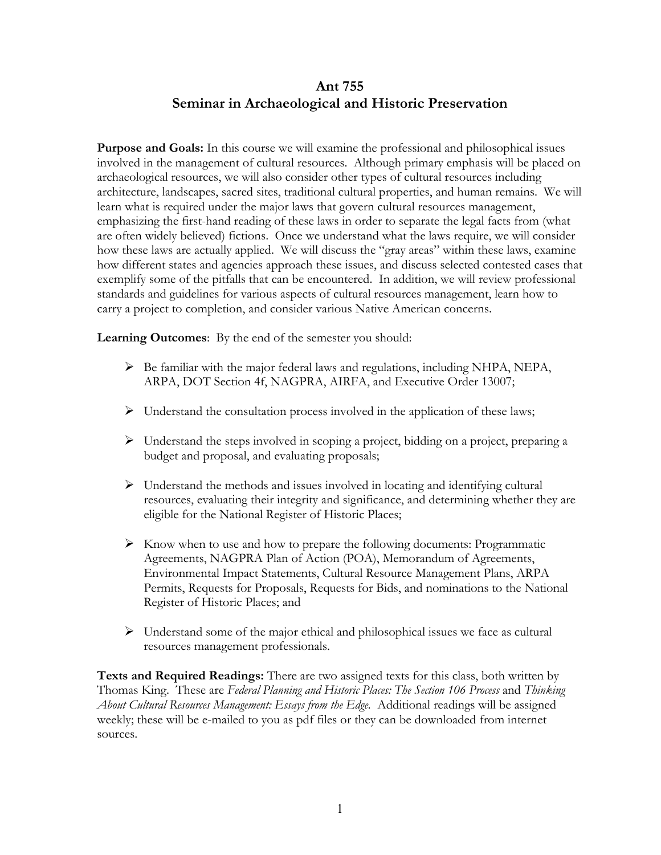#### **Ant 755 Seminar in Archaeological and Historic Preservation**

**Purpose and Goals:** In this course we will examine the professional and philosophical issues involved in the management of cultural resources. Although primary emphasis will be placed on archaeological resources, we will also consider other types of cultural resources including architecture, landscapes, sacred sites, traditional cultural properties, and human remains. We will learn what is required under the major laws that govern cultural resources management, emphasizing the first-hand reading of these laws in order to separate the legal facts from (what are often widely believed) fictions. Once we understand what the laws require, we will consider how these laws are actually applied. We will discuss the "gray areas" within these laws, examine how different states and agencies approach these issues, and discuss selected contested cases that exemplify some of the pitfalls that can be encountered. In addition, we will review professional standards and guidelines for various aspects of cultural resources management, learn how to carry a project to completion, and consider various Native American concerns.

**Learning Outcomes**: By the end of the semester you should:

- $\triangleright$  Be familiar with the major federal laws and regulations, including NHPA, NEPA, ARPA, DOT Section 4f, NAGPRA, AIRFA, and Executive Order 13007;
- $\triangleright$  Understand the consultation process involved in the application of these laws;
- $\triangleright$  Understand the steps involved in scoping a project, bidding on a project, preparing a budget and proposal, and evaluating proposals;
- $\triangleright$  Understand the methods and issues involved in locating and identifying cultural resources, evaluating their integrity and significance, and determining whether they are eligible for the National Register of Historic Places;
- $\triangleright$  Know when to use and how to prepare the following documents: Programmatic Agreements, NAGPRA Plan of Action (POA), Memorandum of Agreements, Environmental Impact Statements, Cultural Resource Management Plans, ARPA Permits, Requests for Proposals, Requests for Bids, and nominations to the National Register of Historic Places; and
- $\triangleright$  Understand some of the major ethical and philosophical issues we face as cultural resources management professionals.

**Texts and Required Readings:** There are two assigned texts for this class, both written by Thomas King. These are *Federal Planning and Historic Places: The Section 106 Process* and *Thinking About Cultural Resources Management: Essays from the Edge.* Additional readings will be assigned weekly; these will be e-mailed to you as pdf files or they can be downloaded from internet sources.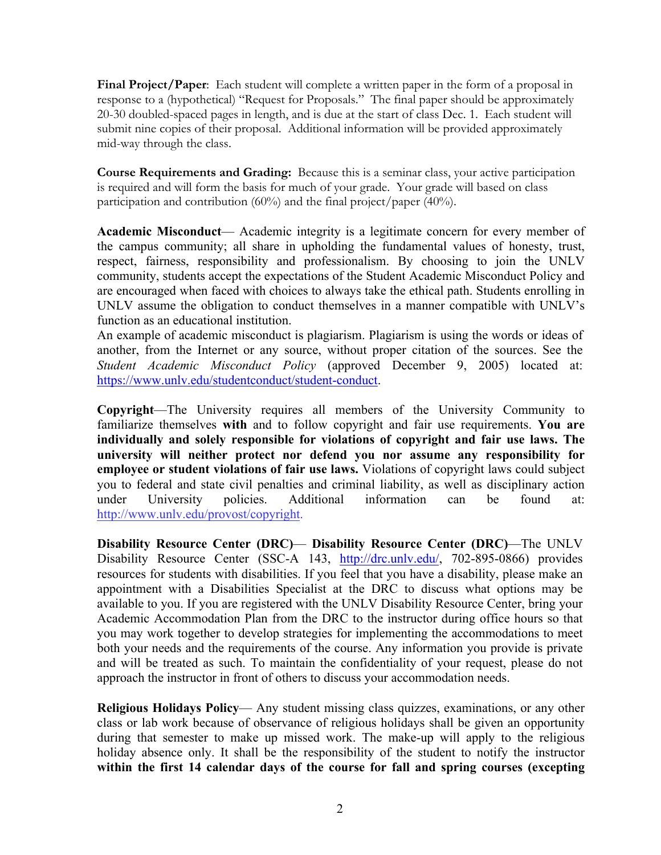**Final Project/Paper**: Each student will complete a written paper in the form of a proposal in response to a (hypothetical) "Request for Proposals." The final paper should be approximately 20-30 doubled-spaced pages in length, and is due at the start of class Dec. 1. Each student will submit nine copies of their proposal. Additional information will be provided approximately mid-way through the class.

**Course Requirements and Grading:** Because this is a seminar class, your active participation is required and will form the basis for much of your grade. Your grade will based on class participation and contribution (60%) and the final project/paper (40%).

**Academic Misconduct**— Academic integrity is a legitimate concern for every member of the campus community; all share in upholding the fundamental values of honesty, trust, respect, fairness, responsibility and professionalism. By choosing to join the UNLV community, students accept the expectations of the Student Academic Misconduct Policy and are encouraged when faced with choices to always take the ethical path. Students enrolling in UNLV assume the obligation to conduct themselves in a manner compatible with UNLV's function as an educational institution.

An example of academic misconduct is plagiarism. Plagiarism is using the words or ideas of another, from the Internet or any source, without proper citation of the sources. See the *Student Academic Misconduct Policy* (approved December 9, 2005) located at: https://www.unlv.edu/studentconduct/student-conduct.

**Copyright**—The University requires all members of the University Community to familiarize themselves **with** and to follow copyright and fair use requirements. **You are individually and solely responsible for violations of copyright and fair use laws. The university will neither protect nor defend you nor assume any responsibility for employee or student violations of fair use laws.** Violations of copyright laws could subject you to federal and state civil penalties and criminal liability, as well as disciplinary action under University policies. Additional information can be found at: http://www.unlv.edu/provost/copyright.

**Disability Resource Center (DRC)**— **Disability Resource Center (DRC)**—The UNLV Disability Resource Center (SSC-A 143, http://drc.unlv.edu/, 702-895-0866) provides resources for students with disabilities. If you feel that you have a disability, please make an appointment with a Disabilities Specialist at the DRC to discuss what options may be available to you. If you are registered with the UNLV Disability Resource Center, bring your Academic Accommodation Plan from the DRC to the instructor during office hours so that you may work together to develop strategies for implementing the accommodations to meet both your needs and the requirements of the course. Any information you provide is private and will be treated as such. To maintain the confidentiality of your request, please do not approach the instructor in front of others to discuss your accommodation needs.

**Religious Holidays Policy**— Any student missing class quizzes, examinations, or any other class or lab work because of observance of religious holidays shall be given an opportunity during that semester to make up missed work. The make-up will apply to the religious holiday absence only. It shall be the responsibility of the student to notify the instructor **within the first 14 calendar days of the course for fall and spring courses (excepting**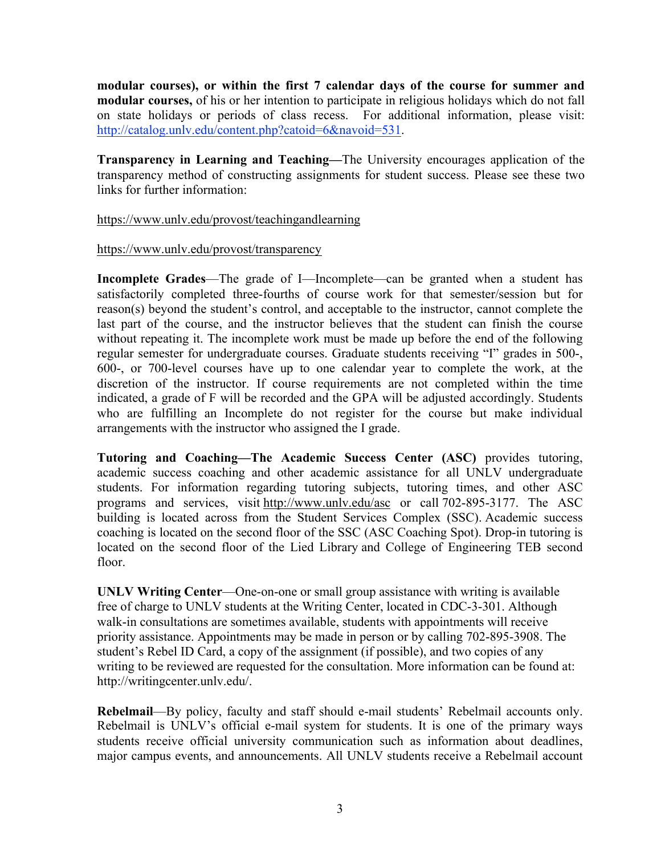**modular courses), or within the first 7 calendar days of the course for summer and modular courses,** of his or her intention to participate in religious holidays which do not fall on state holidays or periods of class recess. For additional information, please visit: http://catalog.unly.edu/content.php?catoid=6&navoid=531.

**Transparency in Learning and Teaching—**The University encourages application of the transparency method of constructing assignments for student success. Please see these two links for further information:

#### https://www.unlv.edu/provost/teachingandlearning

#### https://www.unlv.edu/provost/transparency

**Incomplete Grades**—The grade of I—Incomplete—can be granted when a student has satisfactorily completed three-fourths of course work for that semester/session but for reason(s) beyond the student's control, and acceptable to the instructor, cannot complete the last part of the course, and the instructor believes that the student can finish the course without repeating it. The incomplete work must be made up before the end of the following regular semester for undergraduate courses. Graduate students receiving "I" grades in 500-, 600-, or 700-level courses have up to one calendar year to complete the work, at the discretion of the instructor. If course requirements are not completed within the time indicated, a grade of F will be recorded and the GPA will be adjusted accordingly. Students who are fulfilling an Incomplete do not register for the course but make individual arrangements with the instructor who assigned the I grade.

**Tutoring and Coaching—The Academic Success Center (ASC)** provides tutoring, academic success coaching and other academic assistance for all UNLV undergraduate students. For information regarding tutoring subjects, tutoring times, and other ASC programs and services, visit http://www.unlv.edu/asc or call 702-895-3177. The ASC building is located across from the Student Services Complex (SSC). Academic success coaching is located on the second floor of the SSC (ASC Coaching Spot). Drop-in tutoring is located on the second floor of the Lied Library and College of Engineering TEB second floor.

**UNLV Writing Center**—One-on-one or small group assistance with writing is available free of charge to UNLV students at the Writing Center, located in CDC-3-301. Although walk-in consultations are sometimes available, students with appointments will receive priority assistance. Appointments may be made in person or by calling 702-895-3908. The student's Rebel ID Card, a copy of the assignment (if possible), and two copies of any writing to be reviewed are requested for the consultation. More information can be found at: http://writingcenter.unlv.edu/.

**Rebelmail**—By policy, faculty and staff should e-mail students' Rebelmail accounts only. Rebelmail is UNLV's official e-mail system for students. It is one of the primary ways students receive official university communication such as information about deadlines, major campus events, and announcements. All UNLV students receive a Rebelmail account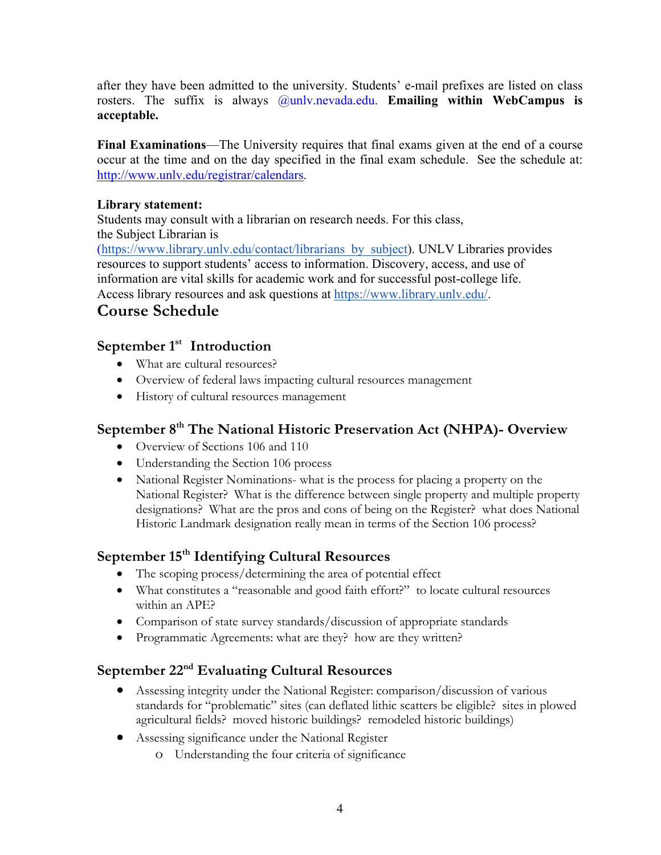after they have been admitted to the university. Students' e-mail prefixes are listed on class rosters. The suffix is always **@unly.nevada.edu. Emailing within WebCampus is acceptable.**

**Final Examinations**—The University requires that final exams given at the end of a course occur at the time and on the day specified in the final exam schedule. See the schedule at: http://www.unlv.edu/registrar/calendars.

#### **Library statement:**

Students may consult with a librarian on research needs. For this class, the Subject Librarian is (https://www.library.unlv.edu/contact/librarians\_by\_subject). UNLV Libraries provides resources to support students' access to information. Discovery, access, and use of information are vital skills for academic work and for successful post-college life. Access library resources and ask questions at https://www.library.unlv.edu/.

# **Course Schedule**

#### **September 1st Introduction**

- What are cultural resources?
- Overview of federal laws impacting cultural resources management
- History of cultural resources management

### **September 8th The National Historic Preservation Act (NHPA)- Overview**

- Overview of Sections 106 and 110
- Understanding the Section 106 process
- National Register Nominations- what is the process for placing a property on the National Register? What is the difference between single property and multiple property designations? What are the pros and cons of being on the Register? what does National Historic Landmark designation really mean in terms of the Section 106 process?

# **September 15th Identifying Cultural Resources**

- The scoping process/determining the area of potential effect
- What constitutes a "reasonable and good faith effort?" to locate cultural resources within an APE?
- Comparison of state survey standards/discussion of appropriate standards
- Programmatic Agreements: what are they? how are they written?

#### **September 22nd Evaluating Cultural Resources**

- Assessing integrity under the National Register: comparison/discussion of various standards for "problematic" sites (can deflated lithic scatters be eligible? sites in plowed agricultural fields? moved historic buildings? remodeled historic buildings)
- Assessing significance under the National Register
	- o Understanding the four criteria of significance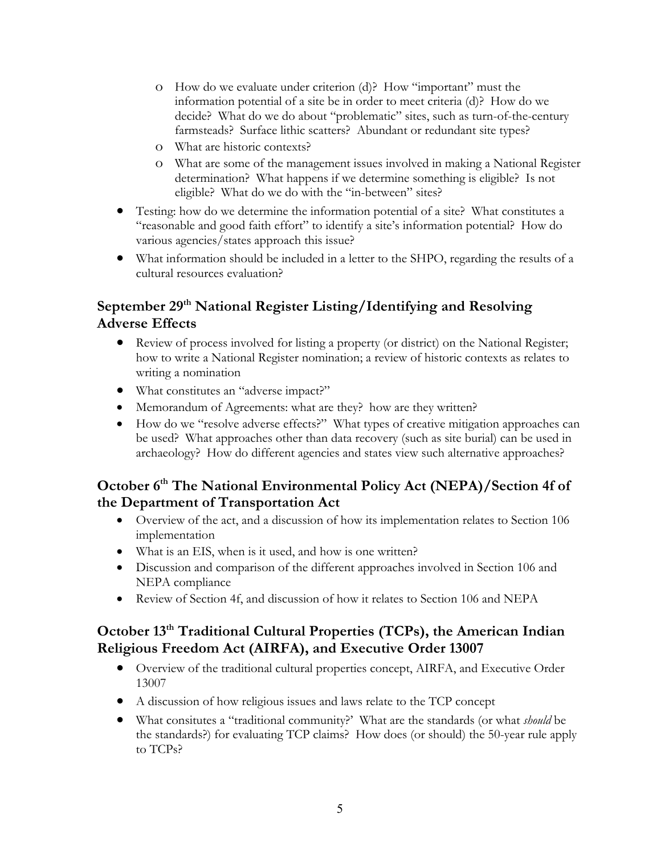- o How do we evaluate under criterion (d)? How "important" must the information potential of a site be in order to meet criteria (d)? How do we decide? What do we do about "problematic" sites, such as turn-of-the-century farmsteads? Surface lithic scatters? Abundant or redundant site types?
- o What are historic contexts?
- o What are some of the management issues involved in making a National Register determination? What happens if we determine something is eligible? Is not eligible? What do we do with the "in-between" sites?
- Testing: how do we determine the information potential of a site? What constitutes a "reasonable and good faith effort" to identify a site's information potential? How do various agencies/states approach this issue?
- What information should be included in a letter to the SHPO, regarding the results of a cultural resources evaluation?

### **September 29th National Register Listing/Identifying and Resolving Adverse Effects**

- Review of process involved for listing a property (or district) on the National Register; how to write a National Register nomination; a review of historic contexts as relates to writing a nomination
- What constitutes an "adverse impact?"
- Memorandum of Agreements: what are they? how are they written?
- How do we "resolve adverse effects?" What types of creative mitigation approaches can be used? What approaches other than data recovery (such as site burial) can be used in archaeology? How do different agencies and states view such alternative approaches?

#### **October 6th The National Environmental Policy Act (NEPA)/Section 4f of the Department of Transportation Act**

- Overview of the act, and a discussion of how its implementation relates to Section 106 implementation
- What is an EIS, when is it used, and how is one written?
- Discussion and comparison of the different approaches involved in Section 106 and NEPA compliance
- Review of Section 4f, and discussion of how it relates to Section 106 and NEPA

# **October 13th Traditional Cultural Properties (TCPs), the American Indian Religious Freedom Act (AIRFA), and Executive Order 13007**

- Overview of the traditional cultural properties concept, AIRFA, and Executive Order 13007
- A discussion of how religious issues and laws relate to the TCP concept
- What consitutes a "traditional community?' What are the standards (or what *should* be the standards?) for evaluating TCP claims? How does (or should) the 50-year rule apply to TCPs?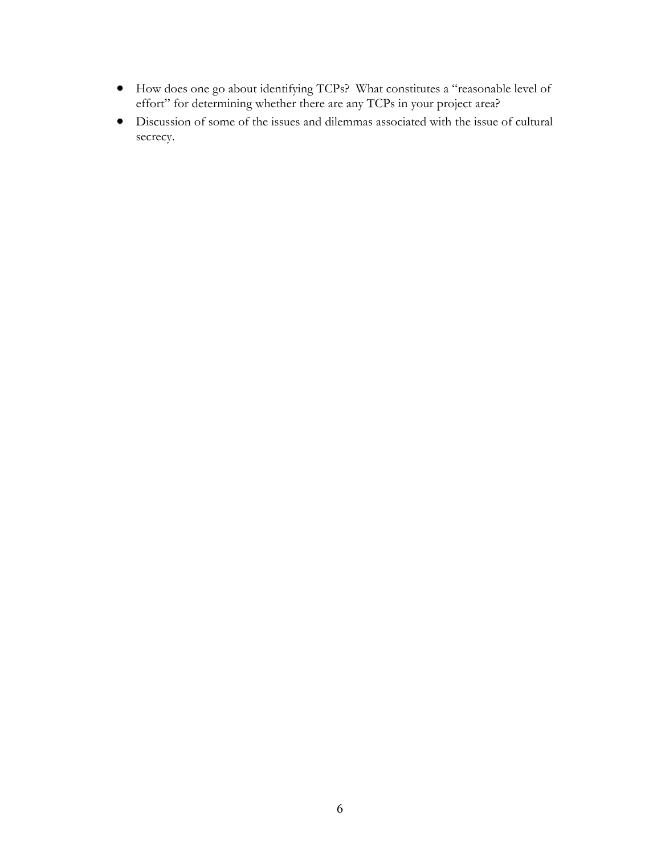- How does one go about identifying TCPs? What constitutes a "reasonable level of effort" for determining whether there are any TCPs in your project area?
- Discussion of some of the issues and dilemmas associated with the issue of cultural secrecy.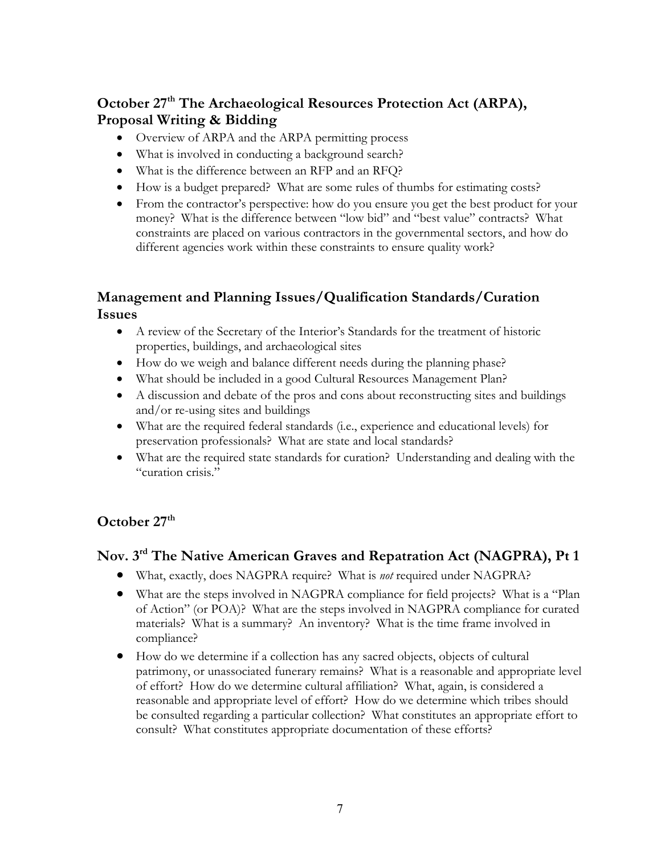# **October 27th The Archaeological Resources Protection Act (ARPA), Proposal Writing & Bidding**

- Overview of ARPA and the ARPA permitting process
- What is involved in conducting a background search?
- What is the difference between an RFP and an RFQ?
- How is a budget prepared? What are some rules of thumbs for estimating costs?
- From the contractor's perspective: how do you ensure you get the best product for your money? What is the difference between "low bid" and "best value" contracts? What constraints are placed on various contractors in the governmental sectors, and how do different agencies work within these constraints to ensure quality work?

#### **Management and Planning Issues/Qualification Standards/Curation Issues**

- A review of the Secretary of the Interior's Standards for the treatment of historic properties, buildings, and archaeological sites
- How do we weigh and balance different needs during the planning phase?
- What should be included in a good Cultural Resources Management Plan?
- A discussion and debate of the pros and cons about reconstructing sites and buildings and/or re-using sites and buildings
- What are the required federal standards (i.e., experience and educational levels) for preservation professionals? What are state and local standards?
- What are the required state standards for curation? Understanding and dealing with the "curation crisis."

#### **October 27th**

#### **Nov. 3rd The Native American Graves and Repatration Act (NAGPRA), Pt 1**

- What, exactly, does NAGPRA require? What is *not* required under NAGPRA?
- What are the steps involved in NAGPRA compliance for field projects? What is a "Plan of Action" (or POA)? What are the steps involved in NAGPRA compliance for curated materials? What is a summary? An inventory? What is the time frame involved in compliance?
- How do we determine if a collection has any sacred objects, objects of cultural patrimony, or unassociated funerary remains? What is a reasonable and appropriate level of effort? How do we determine cultural affiliation? What, again, is considered a reasonable and appropriate level of effort? How do we determine which tribes should be consulted regarding a particular collection? What constitutes an appropriate effort to consult? What constitutes appropriate documentation of these efforts?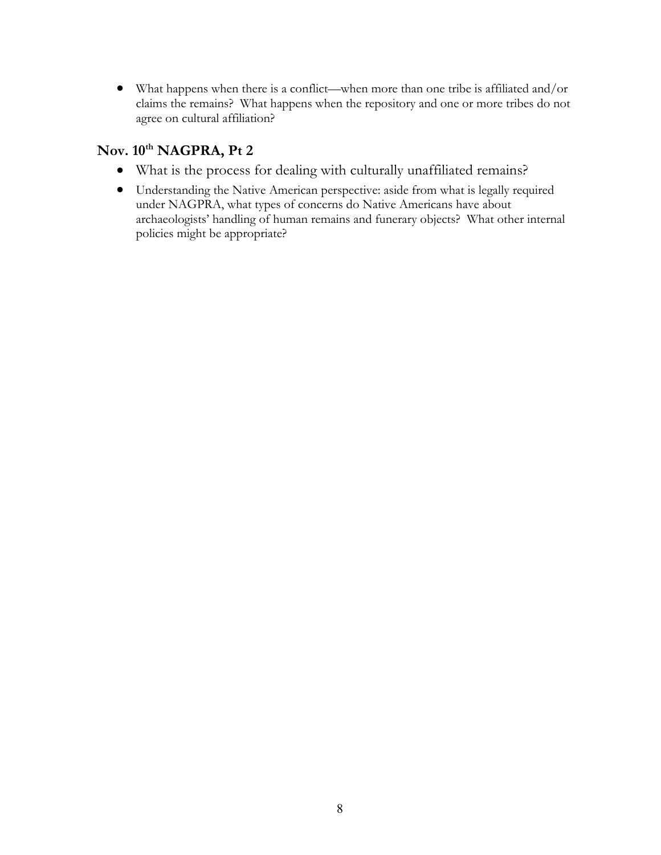• What happens when there is a conflict—when more than one tribe is affiliated and/or claims the remains? What happens when the repository and one or more tribes do not agree on cultural affiliation?

#### **Nov. 10th NAGPRA, Pt 2**

- What is the process for dealing with culturally unaffiliated remains?
- Understanding the Native American perspective: aside from what is legally required under NAGPRA, what types of concerns do Native Americans have about archaeologists' handling of human remains and funerary objects? What other internal policies might be appropriate?